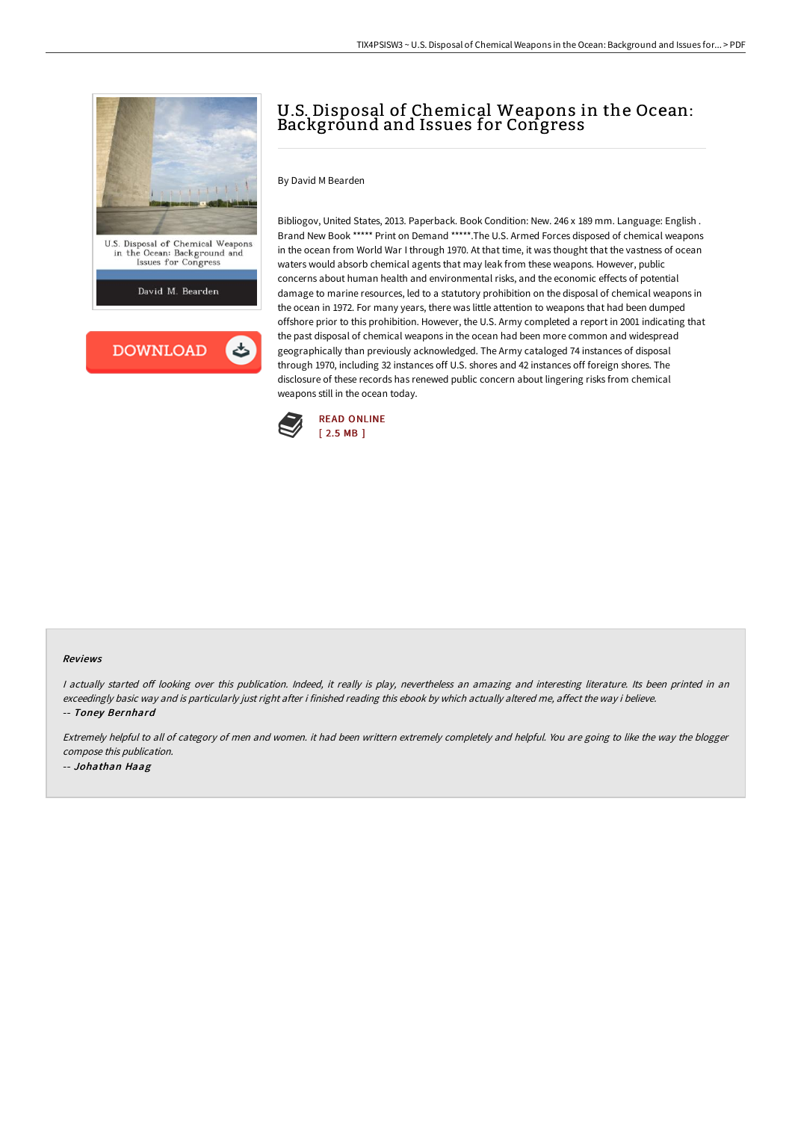

# U.S. Disposal of Chemical Weapons in the Ocean: Background and Issues for Congress

### By David M Bearden

Bibliogov, United States, 2013. Paperback. Book Condition: New. 246 x 189 mm. Language: English . Brand New Book \*\*\*\*\* Print on Demand \*\*\*\*\*.The U.S. Armed Forces disposed of chemical weapons in the ocean from World War I through 1970. At that time, it was thought that the vastness of ocean waters would absorb chemical agents that may leak from these weapons. However, public concerns about human health and environmental risks, and the economic effects of potential damage to marine resources, led to a statutory prohibition on the disposal of chemical weapons in the ocean in 1972. For many years, there was little attention to weapons that had been dumped offshore prior to this prohibition. However, the U.S. Army completed a report in 2001 indicating that the past disposal of chemical weapons in the ocean had been more common and widespread geographically than previously acknowledged. The Army cataloged 74 instances of disposal through 1970, including 32 instances off U.S. shores and 42 instances off foreign shores. The disclosure of these records has renewed public concern about lingering risks from chemical weapons still in the ocean today.



#### Reviews

I actually started off looking over this publication. Indeed, it really is play, nevertheless an amazing and interesting literature. Its been printed in an exceedingly basic way and is particularly just right after i finished reading this ebook by which actually altered me, affect the way i believe. -- Toney Bernhard

Extremely helpful to all of category of men and women. it had been writtern extremely completely and helpful. You are going to like the way the blogger compose this publication. -- Johathan Haag